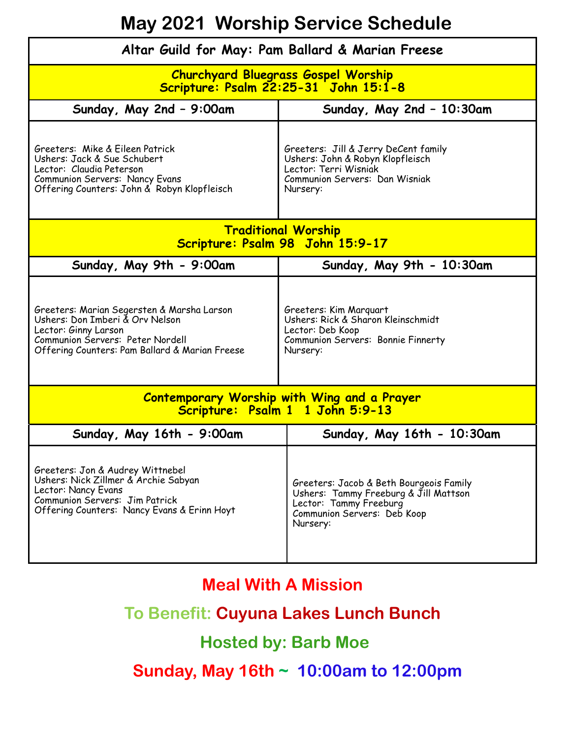## **May 2021 Worship Service Schedule**

| Altar Guild for May: Pam Ballard & Marian Freese                                                                                                                                            |                                                                                                                                                       |  |
|---------------------------------------------------------------------------------------------------------------------------------------------------------------------------------------------|-------------------------------------------------------------------------------------------------------------------------------------------------------|--|
| <b>Churchyard Bluegrass Gospel Worship</b><br>Scripture: Psalm 22:25-31 John 15:1-8                                                                                                         |                                                                                                                                                       |  |
| Sunday, May 2nd - 9:00am                                                                                                                                                                    | Sunday, May 2nd - 10:30am                                                                                                                             |  |
| Greeters: Mike & Eileen Patrick<br>Ushers: Jack & Sue Schubert<br>Lector: Claudia Peterson<br>Communion Servers: Nancy Evans<br>Offering Counters: John & Robyn Klopfleisch                 | Greeters: Jill & Jerry DeCent family<br>Ushers: John & Robyn Klopfleisch<br>Lector: Terri Wisniak<br>Communion Servers: Dan Wisniak<br>Nursery:       |  |
| <b>Traditional Worship</b><br>Scripture: Psalm 98 John 15:9-17                                                                                                                              |                                                                                                                                                       |  |
| Sunday, May 9th - 9:00am                                                                                                                                                                    | Sunday, May 9th - 10:30am                                                                                                                             |  |
| Greeters: Marian Segersten & Marsha Larson<br>Ushers: Don Imberi & Orv Nelson<br>Lector: Ginny Larson<br>Communion Servers: Peter Nordell<br>Offering Counters: Pam Ballard & Marian Freese | Greeters: Kim Marquart<br>Ushers: Rick & Sharon Kleinschmidt<br>Lector: Deb Koop<br>Communion Servers: Bonnie Finnerty<br>Nursery:                    |  |
| <b>Contemporary Worship with Wing and a Prayer</b><br>Scripture: Psalm 1 1 John 5:9-13                                                                                                      |                                                                                                                                                       |  |
| Sunday, May 16th - 9:00am                                                                                                                                                                   | Sunday, May 16th - 10:30am                                                                                                                            |  |
| Greeters: Jon & Audrey Wittnebel<br>Ushers: Nick Zillmer & Archie Sabyan<br>Lector: Nancy Evans<br>Communion Servers: Jim Patrick<br>Offering Counters: Nancy Evans & Erinn Hoyt            | Greeters: Jacob & Beth Bourgeois Family<br>Ushers: Tammy Freeburg & Jill Mattson<br>Lector: Tammy Freeburg<br>Communion Servers: Deb Koop<br>Nursery: |  |

## **Meal With A Mission**

## **To Benefit: Cuyuna Lakes Lunch Bunch**

## **Hosted by: Barb Moe**

 **Sunday, May 16th ~ 10:00am to 12:00pm**